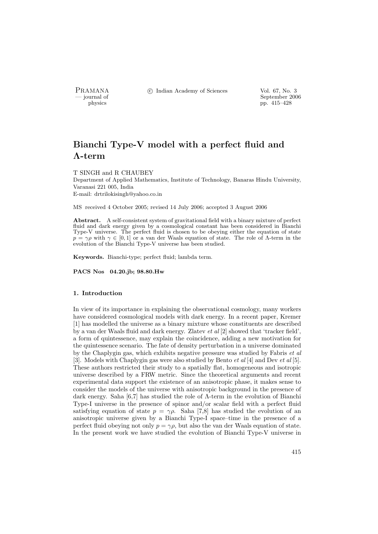PRAMANA <sup>C</sup> Indian Academy of Sciences Vol. 67, No. 3<br>
— iournal of September 200

physics<br>
and the september 2006<br>
physics<br>
pp. 415–428 pp. 415–428

# Bianchi Type-V model with a perfect fluid and Λ-term

#### T SINGH and R CHAUBEY

Department of Applied Mathematics, Institute of Technology, Banaras Hindu University, Varanasi 221 005, India E-mail: drtrilokisingh@yahoo.co.in

MS received 4 October 2005; revised 14 July 2006; accepted 3 August 2006

Abstract. A self-consistent system of gravitational field with a binary mixture of perfect fluid and dark energy given by a cosmological constant has been considered in Bianchi Type-V universe. The perfect fluid is chosen to be obeying either the equation of state  $p = \gamma \rho$  with  $\gamma \in [0, 1]$  or a van der Waals equation of state. The role of  $\Lambda$ -term in the evolution of the Bianchi Type-V universe has been studied.

Keywords. Bianchi-type; perfect fluid; lambda term.

PACS Nos 04.20.jb; 98.80.Hw

#### 1. Introduction

In view of its importance in explaining the observational cosmology, many workers have considered cosmological models with dark energy. In a recent paper, Kremer [1] has modelled the universe as a binary mixture whose constituents are described by a van der Waals fluid and dark energy. Zlatev  $et$  al  $[2]$  showed that 'tracker field', a form of quintessence, may explain the coincidence, adding a new motivation for the quintessence scenario. The fate of density perturbation in a universe dominated by the Chaplygin gas, which exhibits negative pressure was studied by Fabris et al [3]. Models with Chaplygin gas were also studied by Bento et al [4] and Dev et al [5]. These authors restricted their study to a spatially flat, homogeneous and isotropic universe described by a FRW metric. Since the theoretical arguments and recent experimental data support the existence of an anisotropic phase, it makes sense to consider the models of the universe with anisotropic background in the presence of dark energy. Saha [6,7] has studied the role of Λ-term in the evolution of Bianchi Type-I universe in the presence of spinor and/or scalar field with a perfect fluid satisfying equation of state  $p = \gamma \rho$ . Saha [7,8] has studied the evolution of an anisotropic universe given by a Bianchi Type-I space–time in the presence of a perfect fluid obeying not only  $p = \gamma \rho$ , but also the van der Waals equation of state. In the present work we have studied the evolution of Bianchi Type-V universe in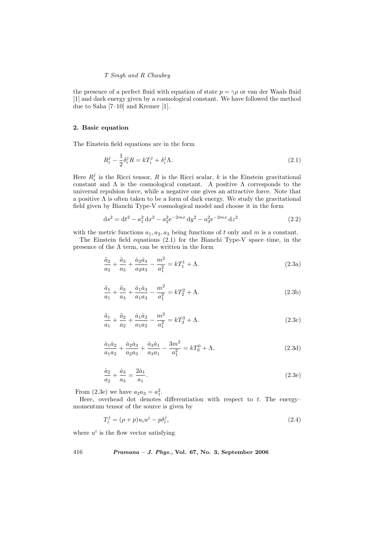the presence of a perfect fluid with equation of state  $p = \gamma \rho$  or van der Waals fluid [1] and dark energy given by a cosmological constant. We have followed the method due to Saha [7–10] and Kremer [1].

#### 2. Basic equation

The Einstein field equations are in the form

$$
R_i^j - \frac{1}{2}\delta_i^j R = kT_i^j + \delta_i^j \Lambda. \tag{2.1}
$$

Here  $R_i^j$  is the Ricci tensor, R is the Ricci scalar, k is the Einstein gravitational constant and  $\Lambda$  is the cosmological constant. A positive  $\Lambda$  corresponds to the universal repulsion force, while a negative one gives an attractive force. Note that a positive  $\Lambda$  is often taken to be a form of dark energy. We study the gravitational field given by Bianchi Type-V cosmological model and choose it in the form

$$
ds^{2} = dt^{2} - a_{1}^{2} dx^{2} - a_{2}^{2} e^{-2mx} dy^{2} - a_{3}^{2} e^{-2mx} dz^{2}
$$
 (2.2)

with the metric functions  $a_1, a_2, a_3$  being functions of t only and m is a constant.

The Einstein field equations  $(2.1)$  for the Bianchi Type-V space–time, in the presence of the  $\Lambda$  term, can be written in the form

$$
\frac{\ddot{a}_2}{a_2} + \frac{\ddot{a}_3}{a_3} + \frac{\dot{a}_2 \dot{a}_3}{a_2 a_3} - \frac{m^2}{a_1^2} = kT_1^1 + \Lambda.
$$
 (2.3a)

$$
\frac{\ddot{a}_1}{a_1} + \frac{\ddot{a}_3}{a_3} + \frac{\dot{a}_1 \dot{a}_3}{a_1 a_3} - \frac{m^2}{a_1^2} = kT_2^2 + \Lambda.
$$
 (2.3b)

$$
\frac{\ddot{a}_1}{a_1} + \frac{\ddot{a}_2}{a_2} + \frac{\dot{a}_1 \dot{a}_2}{a_1 a_2} - \frac{m^2}{a_1^2} = kT_3^3 + \Lambda.
$$
 (2.3c)

$$
\frac{\dot{a}_1 \dot{a}_2}{a_1 a_2} + \frac{\dot{a}_2 \dot{a}_3}{a_2 a_3} + \frac{\dot{a}_3 \dot{a}_1}{a_3 a_1} - \frac{3m^2}{a_1^2} = kT_0^0 + \Lambda.
$$
\n(2.3d)

$$
\frac{\dot{a}_2}{a_2} + \frac{\dot{a}_3}{a_3} = \frac{2\dot{a}_1}{a_1}.
$$
\n(2.3e)

From (2.3e) we have  $a_2 a_3 = a_1^2$ .

Here, overhead dot denotes differentiation with respect to  $t$ . The energy– momentum tensor of the source is given by

$$
T_i^j = (\rho + p)u_i u^j - p\delta_i^j,
$$
\n(2.4)

where  $u^i$  is the flow vector satisfying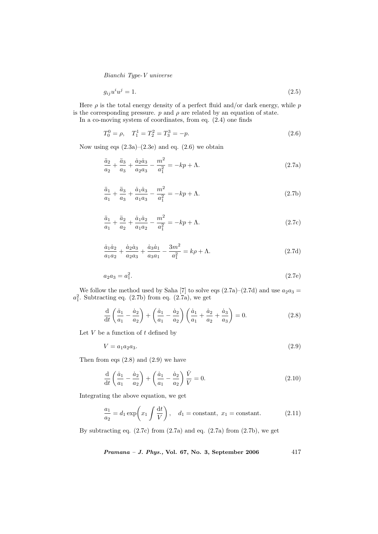$$
g_{ij}u^i u^j = 1.\t\t(2.5)
$$

Here  $\rho$  is the total energy density of a perfect fluid and/or dark energy, while  $p$ is the corresponding pressure.  $p$  and  $\rho$  are related by an equation of state. In a co-moving system of coordinates, from eq. (2.4) one finds

$$
T_0^0 = \rho, \quad T_1^1 = T_2^2 = T_3^3 = -p. \tag{2.6}
$$

Now using eqs  $(2.3a)-(2.3e)$  and eq.  $(2.6)$  we obtain

$$
\frac{\ddot{a}_2}{a_2} + \frac{\ddot{a}_3}{a_3} + \frac{\dot{a}_2 \dot{a}_3}{a_2 a_3} - \frac{m^2}{a_1^2} = -kp + \Lambda.
$$
 (2.7a)

$$
\frac{\ddot{a}_1}{a_1} + \frac{\ddot{a}_3}{a_3} + \frac{\dot{a}_1 \dot{a}_3}{a_1 a_3} - \frac{m^2}{a_1^2} = -kp + \Lambda.
$$
 (2.7b)

$$
\frac{\ddot{a}_1}{a_1} + \frac{\ddot{a}_2}{a_2} + \frac{\dot{a}_1 \dot{a}_2}{a_1 a_2} - \frac{m^2}{a_1^2} = -kp + \Lambda.
$$
 (2.7c)

$$
\frac{\dot{a}_1 \dot{a}_2}{a_1 a_2} + \frac{\dot{a}_2 \dot{a}_3}{a_2 a_3} + \frac{\dot{a}_3 \dot{a}_1}{a_3 a_1} - \frac{3m^2}{a_1^2} = k\rho + \Lambda.
$$
 (2.7d)

$$
a_2 a_3 = a_1^2. \t\t(2.7e)
$$

We follow the method used by Saha [7] to solve eqs  $(2.7a)-(2.7d)$  and use  $a_2a_3 =$  $a_1^2$ . Subtracting eq. (2.7b) from eq. (2.7a), we get

$$
\frac{d}{dt}\left(\frac{\dot{a}_1}{a_1} - \frac{\dot{a}_2}{a_2}\right) + \left(\frac{\dot{a}_1}{a_1} - \frac{\dot{a}_2}{a_2}\right)\left(\frac{\dot{a}_1}{a_1} + \frac{\dot{a}_2}{a_2} + \frac{\dot{a}_3}{a_3}\right) = 0.
$$
\n(2.8)

Let  $V$  be a function of  $t$  defined by

$$
V = a_1 a_2 a_3. \t\t(2.9)
$$

Then from eqs  $(2.8)$  and  $(2.9)$  we have

$$
\frac{\mathrm{d}}{\mathrm{d}t}\left(\frac{\dot{a}_1}{a_1} - \frac{\dot{a}_2}{a_2}\right) + \left(\frac{\dot{a}_1}{a_1} - \frac{\dot{a}_2}{a_2}\right)\frac{\dot{V}}{V} = 0.
$$
\n(2.10)

Integrating the above equation, we get

$$
\frac{a_1}{a_2} = d_1 \exp\left(x_1 \int \frac{\mathrm{d}t}{V}\right), \quad d_1 = \text{constant}, \ x_1 = \text{constant}.\tag{2.11}
$$

By subtracting eq.  $(2.7c)$  from  $(2.7a)$  and eq.  $(2.7a)$  from  $(2.7b)$ , we get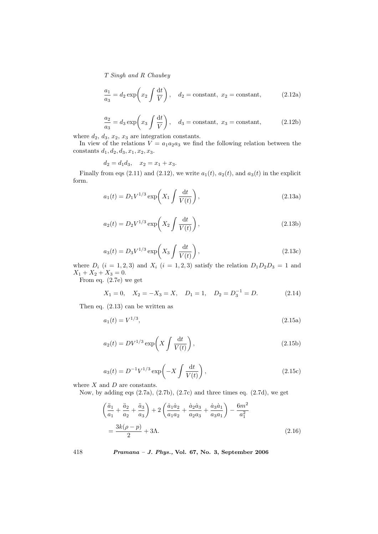$$
\frac{a_1}{a_3} = d_2 \exp\left(x_2 \int \frac{\mathrm{d}t}{V}\right), \quad d_2 = \text{constant}, \quad x_2 = \text{constant}, \tag{2.12a}
$$

$$
\frac{a_2}{a_3} = d_3 \exp\left(x_3 \int \frac{\mathrm{d}t}{V}\right), \quad d_3 = \text{constant}, \quad x_3 = \text{constant}, \tag{2.12b}
$$

where  $d_2$ ,  $d_3$ ,  $x_2$ ,  $x_3$  are integration constants.

In view of the relations  $V = a_1 a_2 a_3$  we find the following relation between the constants  $d_1, d_2, d_3, x_1, x_2, x_3$ .

$$
d_2 = d_1 d_3, \quad x_2 = x_1 + x_3.
$$

Finally from eqs (2.11) and (2.12), we write  $a_1(t)$ ,  $a_2(t)$ , and  $a_3(t)$  in the explicit form.

$$
a_1(t) = D_1 V^{1/3} \exp\left(X_1 \int \frac{\mathrm{d}t}{V(t)}\right),\tag{2.13a}
$$

$$
a_2(t) = D_2 V^{1/3} \exp\left(X_2 \int \frac{\mathrm{d}t}{V(t)}\right),\tag{2.13b}
$$

$$
a_3(t) = D_3 V^{1/3} \exp\left(X_3 \int \frac{\mathrm{d}t}{V(t)}\right),\tag{2.13c}
$$

where  $D_i$   $(i = 1, 2, 3)$  and  $X_i$   $(i = 1, 2, 3)$  satisfy the relation  $D_1D_2D_3 = 1$  and  $X_1 + X_2 + X_3 = 0.$ 

From eq. (2.7e) we get

$$
X_1 = 0
$$
,  $X_2 = -X_3 = X$ ,  $D_1 = 1$ ,  $D_2 = D_3^{-1} = D$ . (2.14)

Then eq. (2.13) can be written as

$$
a_1(t) = V^{1/3},\tag{2.15a}
$$

$$
a_2(t) = DV^{1/3} \exp\left(X \int \frac{\mathrm{d}t}{V(t)}\right),\tag{2.15b}
$$

$$
a_3(t) = D^{-1}V^{1/3} \exp\left(-X \int \frac{\mathrm{d}t}{V(t)}\right),\tag{2.15c}
$$

where  $X$  and  $D$  are constants.

Now, by adding eqs (2.7a), (2.7b), (2.7c) and three times eq. (2.7d), we get

$$
\left(\frac{\ddot{a}_1}{a_1} + \frac{\ddot{a}_2}{a_2} + \frac{\ddot{a}_3}{a_3}\right) + 2\left(\frac{\dot{a}_1\dot{a}_2}{a_1a_2} + \frac{\dot{a}_2\dot{a}_3}{a_2a_3} + \frac{\dot{a}_3\dot{a}_1}{a_3a_1}\right) - \frac{6m^2}{a_1^2}
$$
\n
$$
= \frac{3k(\rho - p)}{2} + 3\Lambda.
$$
\n(2.16)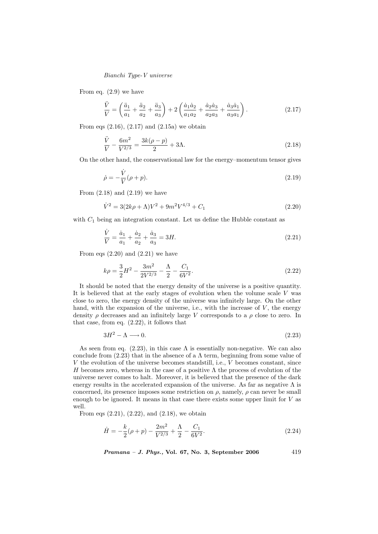From eq. (2.9) we have

$$
\frac{\ddot{V}}{V} = \left(\frac{\ddot{a}_1}{a_1} + \frac{\ddot{a}_2}{a_2} + \frac{\ddot{a}_3}{a_3}\right) + 2\left(\frac{\dot{a}_1\dot{a}_2}{a_1a_2} + \frac{\dot{a}_2\dot{a}_3}{a_2a_3} + \frac{\dot{a}_3\dot{a}_1}{a_3a_1}\right). \tag{2.17}
$$

From eqs  $(2.16)$ ,  $(2.17)$  and  $(2.15a)$  we obtain

$$
\frac{\ddot{V}}{V} - \frac{6m^2}{V^{2/3}} = \frac{3k(\rho - p)}{2} + 3\Lambda.
$$
\n(2.18)

On the other hand, the conservational law for the energy–momentum tensor gives

$$
\dot{\rho} = -\frac{\dot{V}}{V}(\rho + p). \tag{2.19}
$$

From  $(2.18)$  and  $(2.19)$  we have

$$
\dot{V}^2 = 3(2k\rho + \Lambda)V^2 + 9m^2V^{4/3} + C_1
$$
\n(2.20)

with  $C_1$  being an integration constant. Let us define the Hubble constant as

$$
\frac{\dot{V}}{V} = \frac{\dot{a}_1}{a_1} + \frac{\dot{a}_2}{a_2} + \frac{\dot{a}_3}{a_3} = 3H.
$$
\n(2.21)

From eqs  $(2.20)$  and  $(2.21)$  we have

$$
k\rho = \frac{3}{2}H^2 - \frac{3m^2}{2V^{2/3}} - \frac{\Lambda}{2} - \frac{C_1}{6V^2}.
$$
\n(2.22)

It should be noted that the energy density of the universe is a positive quantity. It is believed that at the early stages of evolution when the volume scale V was close to zero, the energy density of the universe was infinitely large. On the other hand, with the expansion of the universe, i.e., with the increase of  $V$ , the energy density  $\rho$  decreases and an infinitely large V corresponds to a  $\rho$  close to zero. In that case, from eq. (2.22), it follows that

$$
3H^2 - \Lambda \longrightarrow 0. \tag{2.23}
$$

As seen from eq.  $(2.23)$ , in this case  $\Lambda$  is essentially non-negative. We can also conclude from  $(2.23)$  that in the absence of a  $\Lambda$  term, beginning from some value of V the evolution of the universe becomes standstill, i.e., V becomes constant, since H becomes zero, whereas in the case of a positive  $\Lambda$  the process of evolution of the universe never comes to halt. Moreover, it is believed that the presence of the dark energy results in the accelerated expansion of the universe. As far as negative  $\Lambda$  is concerned, its presence imposes some restriction on  $\rho$ , namely,  $\rho$  can never be small enough to be ignored. It means in that case there exists some upper limit for  $V$  as well.

From eqs  $(2.21)$ ,  $(2.22)$ , and  $(2.18)$ , we obtain

$$
\dot{H} = -\frac{k}{2}(\rho + p) - \frac{2m^2}{V^{2/3}} + \frac{\Lambda}{2} - \frac{C_1}{6V^2}.
$$
\n(2.24)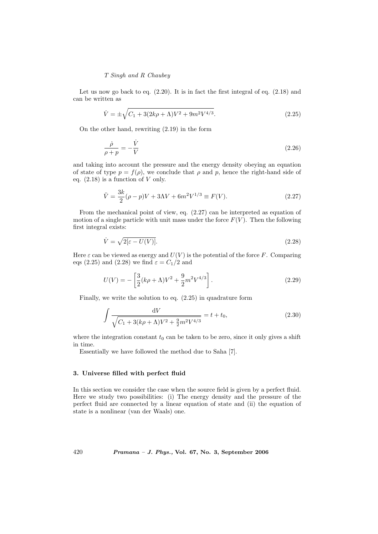Let us now go back to eq.  $(2.20)$ . It is in fact the first integral of eq.  $(2.18)$  and can be written as

$$
\dot{V} = \pm \sqrt{C_1 + 3(2k\rho + \Lambda)V^2 + 9m^2V^{4/3}}.
$$
\n(2.25)

On the other hand, rewriting (2.19) in the form

$$
\frac{\dot{\rho}}{\rho + p} = -\frac{\dot{V}}{V}
$$
\n(2.26)

and taking into account the pressure and the energy density obeying an equation of state of type  $p = f(\rho)$ , we conclude that  $\rho$  and p, hence the right-hand side of eq.  $(2.18)$  is a function of V only.

$$
\ddot{V} = \frac{3k}{2}(\rho - p)V + 3\Lambda V + 6m^2V^{1/3} \equiv F(V). \tag{2.27}
$$

From the mechanical point of view, eq. (2.27) can be interpreted as equation of motion of a single particle with unit mass under the force  $F(V)$ . Then the following first integral exists:

$$
\dot{V} = \sqrt{2[\varepsilon - U(V)]}.\tag{2.28}
$$

Here  $\varepsilon$  can be viewed as energy and  $U(V)$  is the potential of the force F. Comparing eqs (2.25) and (2.28) we find  $\varepsilon = C_1/2$  and

$$
U(V) = -\left[\frac{3}{2}(k\rho + \Lambda)V^2 + \frac{9}{2}m^2V^{4/3}\right].
$$
 (2.29)

Finally, we write the solution to eq. (2.25) in quadrature form

$$
\int \frac{dV}{\sqrt{C_1 + 3(k\rho + \Lambda)V^2 + \frac{9}{2}m^2V^{4/3}}} = t + t_0,
$$
\n(2.30)

where the integration constant  $t_0$  can be taken to be zero, since it only gives a shift in time.

Essentially we have followed the method due to Saha [7].

#### 3. Universe filled with perfect fluid

In this section we consider the case when the source field is given by a perfect fluid. Here we study two possibilities: (i) The energy density and the pressure of the perfect fluid are connected by a linear equation of state and (ii) the equation of state is a nonlinear (van der Waals) one.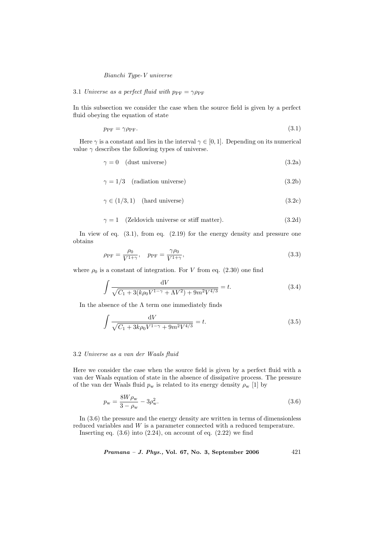#### 3.1 Universe as a perfect fluid with  $p_{\text{PF}} = \gamma \rho_{\text{PF}}$

In this subsection we consider the case when the source field is given by a perfect fluid obeying the equation of state

$$
p_{\rm PF} = \gamma \rho_{\rm PF}.\tag{3.1}
$$

Here  $\gamma$  is a constant and lies in the interval  $\gamma \in [0,1]$ . Depending on its numerical value  $\gamma$  describes the following types of universe.

$$
\gamma = 0 \quad \text{(dust universe)}\tag{3.2a}
$$

$$
\gamma = 1/3 \quad \text{(radiation universe)}\tag{3.2b}
$$

$$
\gamma \in (1/3, 1) \quad \text{(hard universe)}\tag{3.2c}
$$

$$
\gamma = 1 \quad \text{(Zeldovich universe or stiff matter)}.\tag{3.2d}
$$

In view of eq.  $(3.1)$ , from eq.  $(2.19)$  for the energy density and pressure one obtains

$$
\rho_{\rm PF} = \frac{\rho_0}{V^{1+\gamma}}, \quad p_{\rm PF} = \frac{\gamma \rho_0}{V^{1+\gamma}}, \tag{3.3}
$$

where  $\rho_0$  is a constant of integration. For V from eq. (2.30) one find

$$
\int \frac{\mathrm{d}V}{\sqrt{C_1 + 3(k\rho_0 V^{1-\gamma} + \Lambda V^2) + 9m^2 V^{4/3}}} = t.
$$
\n(3.4)

In the absence of the  $\Lambda$  term one immediately finds

$$
\int \frac{dV}{\sqrt{C_1 + 3k\rho_0 V^{1-\gamma} + 9m^2 V^{4/3}}} = t.
$$
\n(3.5)

#### 3.2 Universe as a van der Waals fluid

Here we consider the case when the source field is given by a perfect fluid with a van der Waals equation of state in the absence of dissipative process. The pressure of the van der Waals fluid  $p_w$  is related to its energy density  $\rho_w$  [1] by

$$
p_{\rm w} = \frac{8W\rho_{\rm w}}{3 - \rho_{\rm w}} - 3\rho_{\rm w}^2.
$$
\n(3.6)

In (3.6) the pressure and the energy density are written in terms of dimensionless reduced variables and W is a parameter connected with a reduced temperature.

Inserting eq.  $(3.6)$  into  $(2.24)$ , on account of eq.  $(2.22)$  we find

$$
Pramana - J. Phys., Vol. 67, No. 3, September 2006 \t\t\t\t\t\t 421
$$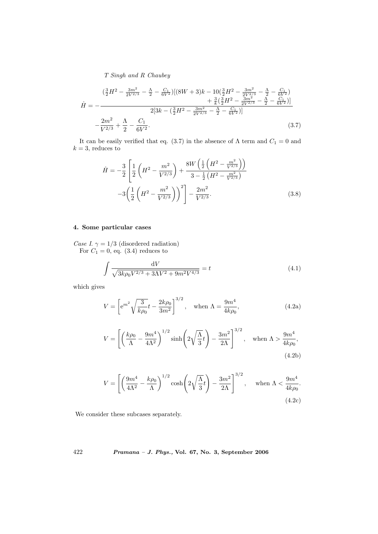$$
\dot{H} = -\frac{\left(\frac{3}{2}H^2 - \frac{3m^2}{2V^{2/3}} - \frac{\Lambda}{2} - \frac{C_1}{6V^2}\right)\left[\left(8W + 3\right)k - 10\left(\frac{3}{2}H^2 - \frac{3m^2}{2V^{2/3}} - \frac{\Lambda}{2} - \frac{C_1}{6V^2}\right)\right]}{2\left[3k - \left(\frac{3}{2}H^2 - \frac{3m^2}{2V^{2/3}} - \frac{\Lambda}{2} - \frac{C_1}{6V^2}\right)\right]}
$$
\n
$$
-\frac{2m^2}{V^{2/3}} + \frac{\Lambda}{2} - \frac{C_1}{6V^2}.
$$
\n(3.7)

It can be easily verified that eq. (3.7) in the absence of  $\Lambda$  term and  $C_1 = 0$  and  $k = 3$ , reduces to

$$
\dot{H} = -\frac{3}{2} \left[ \frac{1}{2} \left( H^2 - \frac{m^2}{V^{2/3}} \right) + \frac{8W \left( \frac{1}{2} \left( H^2 - \frac{m^2}{V^{2/3}} \right) \right)}{3 - \frac{1}{2} \left( H^2 - \frac{m^2}{V^{2/3}} \right)} - 3 \left( \frac{1}{2} \left( H^2 - \frac{m^2}{V^{2/3}} \right) \right)^2 \right] - \frac{2m^2}{V^{2/3}}.
$$
\n(3.8)

## 4. Some particular cases

Case I.  $\gamma = 1/3$  (disordered radiation) For  $C_1 = 0$ , eq.  $(3.4)$  reduces to

$$
\int \frac{dV}{\sqrt{3k\rho_0 V^{2/3} + 3\Lambda V^2 + 9m^2 V^{4/3}}} = t \tag{4.1}
$$

which gives

$$
V = \left[ e^{m^2} \sqrt{\frac{3}{k \rho_0}} t - \frac{2k \rho_0}{3m^2} \right]^{3/2}, \quad \text{when } \Lambda = \frac{9m^4}{4k \rho_0}, \tag{4.2a}
$$

$$
V = \left[ \left( \frac{k\rho_0}{\Lambda} - \frac{9m^4}{4\Lambda^2} \right)^{1/2} \sinh\left( 2\sqrt{\frac{\Lambda}{3}}t \right) - \frac{3m^2}{2\Lambda} \right]^{3/2}, \quad \text{when } \Lambda > \frac{9m^4}{4k\rho_0},\tag{4.2b}
$$

$$
V = \left[ \left( \frac{9m^4}{4\Lambda^2} - \frac{k\rho_0}{\Lambda} \right)^{1/2} \cosh\left( 2\sqrt{\frac{\Lambda}{3}}t \right) - \frac{3m^2}{2\Lambda} \right]^{3/2}, \quad \text{when } \Lambda < \frac{9m^4}{4k\rho_0}.
$$
\n
$$
(4.2c)
$$

We consider these subcases separately.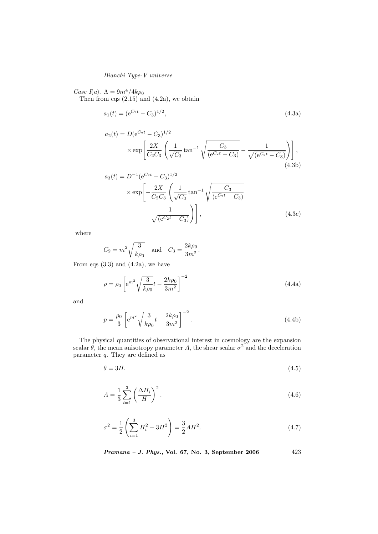Case I(a).  $\Lambda = 9m^4/4k\rho_0$ 

Then from eqs  $(2.15)$  and  $(4.2a)$ , we obtain

$$
a_1(t) = (e^{C_2 t} - C_3)^{1/2}, \tag{4.3a}
$$

$$
a_2(t) = D(e^{C_2 t} - C_3)^{1/2}
$$
  
 
$$
\times \exp\left[\frac{2X}{C_2 C_3} \left(\frac{1}{\sqrt{C_3}} \tan^{-1} \sqrt{\frac{C_3}{(e^{C_2 t} - C_3)}} - \frac{1}{\sqrt{(e^{C_2 t} - C_3)}}\right)\right],
$$
(4.3b)

$$
a_3(t) = D^{-1} (e^{C_2 t} - C_3)^{1/2}
$$
  
 
$$
\times \exp\left[-\frac{2X}{C_2 C_3} \left(\frac{1}{\sqrt{C_3}} \tan^{-1} \sqrt{\frac{C_3}{(e^{C_2 t} - C_3)}} - \frac{1}{\sqrt{(e^{C_2 t} - C_3)}}\right)\right],
$$
 (4.3c)

where

$$
C_2 = m^2 \sqrt{\frac{3}{k\rho_0}}
$$
 and  $C_3 = \frac{2k\rho_0}{3m^2}$ 

From eqs  $(3.3)$  and  $(4.2a)$ , we have

$$
\rho = \rho_0 \left[ e^{m^2} \sqrt{\frac{3}{k \rho_0}} t - \frac{2k \rho_0}{3m^2} \right]^{-2}
$$
\n(4.4a)

.

and

$$
p = \frac{\rho_0}{3} \left[ e^{m^2} \sqrt{\frac{3}{k \rho_0}} t - \frac{2k \rho_0}{3m^2} \right]^{-2}.
$$
 (4.4b)

The physical quantities of observational interest in cosmology are the expansion scalar  $\theta$ , the mean anisotropy parameter A, the shear scalar  $\sigma^2$  and the deceleration parameter  $q$ . They are defined as

$$
\theta = 3H.\tag{4.5}
$$

$$
A = \frac{1}{3} \sum_{i=1}^{3} \left(\frac{\Delta H_i}{H}\right)^2.
$$
\n
$$
(4.6)
$$

$$
\sigma^2 = \frac{1}{2} \left( \sum_{i=1}^3 H_i^2 - 3H^2 \right) = \frac{3}{2} A H^2.
$$
 (4.7)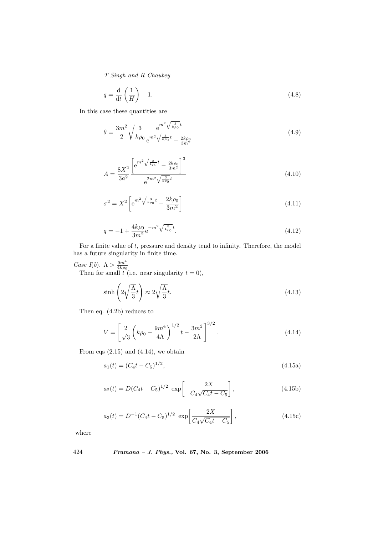$$
q = \frac{\mathrm{d}}{\mathrm{d}t} \left(\frac{1}{H}\right) - 1. \tag{4.8}
$$

In this case these quantities are

$$
\theta = \frac{3m^2}{2} \sqrt{\frac{3}{k\rho_0}} \frac{e^{m^2 \sqrt{\frac{3}{k\rho_0}}t}}{e^{m^2 \sqrt{\frac{3}{k\rho_0}}t} - \frac{2k\rho_0}{3m^2}}
$$
(4.9)

$$
A = \frac{8X^2}{3a^2} \frac{\left[ e^{m^2 \sqrt{\frac{3}{k\rho_0}}t} - \frac{2k\rho_0}{3m^2} \right]^3}{e^{2m^2 \sqrt{\frac{3}{k\rho_0}}t}}
$$
(4.10)

$$
\sigma^2 = X^2 \left[ e^{m^2 \sqrt{\frac{3}{k \rho_0}} t} - \frac{2k \rho_0}{3m^2} \right]
$$
\n(4.11)

$$
q = -1 + \frac{4k\rho_0}{3m^2} e^{-m^2 \sqrt{\frac{3}{k\rho_0}} t}.
$$
\n(4.12)

For a finite value of  $t$ , pressure and density tend to infinity. Therefore, the model has a future singularity in finite time.

Case I(b).  $\Lambda > \frac{9m^4}{4k\rho_0}$ <br>Then for small t (i.e. near singularity  $t = 0$ ),

$$
\sinh\left(2\sqrt{\frac{\Lambda}{3}}t\right) \approx 2\sqrt{\frac{\Lambda}{3}}t.\tag{4.13}
$$

Then eq. (4.2b) reduces to

$$
V = \left[\frac{2}{\sqrt{3}}\left(k\rho_0 - \frac{9m^4}{4\Lambda}\right)^{1/2}t - \frac{3m^2}{2\Lambda}\right]^{3/2}.
$$
 (4.14)

From eqs  $(2.15)$  and  $(4.14)$ , we obtain

$$
a_1(t) = (C_4t - C_5)^{1/2}, \tag{4.15a}
$$

$$
a_2(t) = D(C_4t - C_5)^{1/2} \exp\left[-\frac{2X}{C_4\sqrt{C_4t - C_5}}\right],
$$
\n(4.15b)

$$
a_3(t) = D^{-1} (C_4 t - C_5)^{1/2} \exp \left[ \frac{2X}{C_4 \sqrt{C_4 t - C_5}} \right],
$$
 (4.15c)

where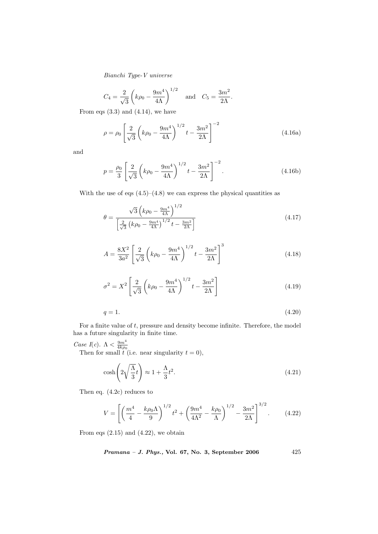$$
C_4 = \frac{2}{\sqrt{3}} \left( k\rho_0 - \frac{9m^4}{4\Lambda} \right)^{1/2}
$$
 and  $C_5 = \frac{3m^2}{2\Lambda}$ .

From eqs  $(3.3)$  and  $(4.14)$ , we have

$$
\rho = \rho_0 \left[ \frac{2}{\sqrt{3}} \left( k \rho_0 - \frac{9m^4}{4\Lambda} \right)^{1/2} t - \frac{3m^2}{2\Lambda} \right]^{-2}
$$
(4.16a)

and

$$
p = \frac{\rho_0}{3} \left[ \frac{2}{\sqrt{3}} \left( k \rho_0 - \frac{9m^4}{4\Lambda} \right)^{1/2} t - \frac{3m^2}{2\Lambda} \right]^{-2}.
$$
 (4.16b)

With the use of eqs  $(4.5)$ – $(4.8)$  we can express the physical quantities as

$$
\theta = \frac{\sqrt{3} \left( k \rho_0 - \frac{9m^4}{4\Lambda} \right)^{1/2}}{\left[ \frac{2}{\sqrt{3}} \left( k \rho_0 - \frac{9m^4}{4\Lambda} \right)^{1/2} t - \frac{3m^2}{2\Lambda} \right]}
$$
(4.17)

$$
A = \frac{8X^2}{3a^2} \left[ \frac{2}{\sqrt{3}} \left( k\rho_0 - \frac{9m^4}{4\Lambda} \right)^{1/2} t - \frac{3m^2}{2\Lambda} \right]^3
$$
 (4.18)

$$
\sigma^2 = X^2 \left[ \frac{2}{\sqrt{3}} \left( k \rho_0 - \frac{9m^4}{4\Lambda} \right)^{1/2} t - \frac{3m^2}{2\Lambda} \right]
$$
(4.19)

$$
q = 1.\t\t(4.20)
$$

For a finite value of  $t$ , pressure and density become infinite. Therefore, the model has a future singularity in finite time.

Case I(c).  $\Lambda < \frac{9m^4}{4k\rho_0}$ <br>Then for small t (i.e. near singularity  $t = 0$ ),

$$
\cosh\left(2\sqrt{\frac{\Lambda}{3}}t\right) \approx 1 + \frac{\Lambda}{3}t^2. \tag{4.21}
$$

Then eq. (4.2c) reduces to

$$
V = \left[ \left( \frac{m^4}{4} - \frac{k\rho_0 \Lambda}{9} \right)^{1/2} t^2 + \left( \frac{9m^4}{4\Lambda^2} - \frac{k\rho_0}{\Lambda} \right)^{1/2} - \frac{3m^2}{2\Lambda} \right]^{3/2}.
$$
 (4.22)

From eqs  $(2.15)$  and  $(4.22)$ , we obtain

$$
Pramana - J. Phys., Vol. 67, No. 3, September 2006 \qquad \qquad 425
$$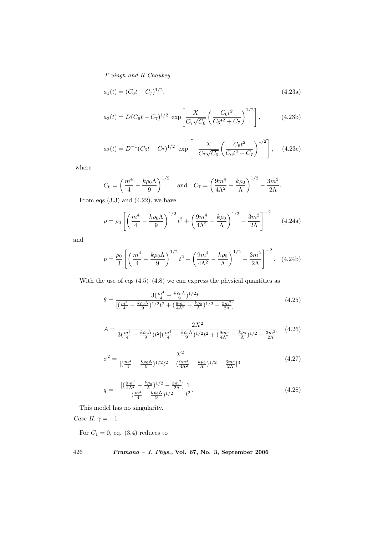$$
a_1(t) = (C_6t - C_7)^{1/2}, \tag{4.23a}
$$

$$
a_2(t) = D(C_6t - C_7)^{1/2} \exp\left[\frac{X}{C_7\sqrt{C_6}} \left(\frac{C_6t^2}{C_6t^2 + C_7}\right)^{1/2}\right],
$$
 (4.23b)

$$
a_3(t) = D^{-1} (C_6 t - C_7)^{1/2} \exp \left[ -\frac{X}{C_7 \sqrt{C_6}} \left( \frac{C_6 t^2}{C_6 t^2 + C_7} \right)^{1/2} \right], \quad (4.23c)
$$

where

$$
C_6 = \left(\frac{m^4}{4} - \frac{k\rho_0\Lambda}{9}\right)^{1/2}
$$
 and  $C_7 = \left(\frac{9m^4}{4\Lambda^2} - \frac{k\rho_0}{\Lambda}\right)^{1/2} - \frac{3m^2}{2\Lambda}.$ 

From eqs  $(3.3)$  and  $(4.22)$ , we have

$$
\rho = \rho_0 \left[ \left( \frac{m^4}{4} - \frac{k \rho_0 \Lambda}{9} \right)^{1/2} t^2 + \left( \frac{9m^4}{4\Lambda^2} - \frac{k \rho_0}{\Lambda} \right)^{1/2} - \frac{3m^2}{2\Lambda} \right]^{-2}
$$
 (4.24a)

and

$$
p = \frac{\rho_0}{3} \left[ \left( \frac{m^4}{4} - \frac{k \rho_0 \Lambda}{9} \right)^{1/2} t^2 + \left( \frac{9m^4}{4\Lambda^2} - \frac{k \rho_0}{\Lambda} \right)^{1/2} - \frac{3m^2}{2\Lambda} \right]^{-2}.
$$
 (4.24b)

With the use of eqs  $(4.5)$ – $(4.8)$  we can express the physical quantities as

$$
\theta = \frac{3(\frac{m^4}{4} - \frac{k\rho_0 \Lambda}{9})^{1/2} t}{[(\frac{m^4}{4} - \frac{k\rho_0 \Lambda}{9})^{1/2} t^2 + (\frac{9m^4}{4\Lambda^2} - \frac{k\rho_0}{\Lambda})^{1/2} - \frac{3m^2}{2\Lambda}]} \tag{4.25}
$$

$$
A = \frac{2X^2}{3(\frac{m^4}{4} - \frac{k\rho_0\Lambda}{9})t^2[(\frac{m^4}{4} - \frac{k\rho_0\Lambda}{9})^{1/2}t^2 + (\frac{9m^4}{4\Lambda^2} - \frac{k\rho_0}{\Lambda})^{1/2} - \frac{3m^2}{2\Lambda}} \tag{4.26}
$$

$$
\sigma^2 = \frac{X^2}{\left[ \left( \frac{m^4}{4} - \frac{k\rho_0 \Lambda}{9} \right)^{1/2} t^2 + \left( \frac{9m^4}{4\Lambda^2} - \frac{k\rho_0}{\Lambda} \right)^{1/2} - \frac{3m^2}{2\Lambda} \right]^3}
$$
(4.27)

$$
q = -\frac{\left[\left(\frac{9m^4}{4\Lambda^2} - \frac{k\rho_0}{\Lambda}\right)^{1/2} - \frac{3m^2}{2\Lambda}\right]}{\left(\frac{m^4}{4} - \frac{k\rho_0\Lambda}{9}\right)^{1/2}} \frac{1}{t^2}.
$$
\n(4.28)

This model has no singularity.

Case II.  $\gamma = -1$ 

For  $C_1 = 0$ , eq. (3.4) reduces to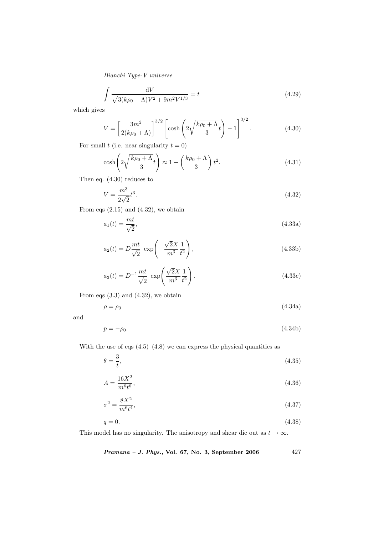$$
\int \frac{dV}{\sqrt{3(k\rho_0 + \Lambda)V^2 + 9m^2V^{1/3}}} = t
$$
\n(4.29)

which gives

$$
V = \left[\frac{3m^2}{2(k\rho_0 + \Lambda)}\right]^{3/2} \left[\cosh\left(2\sqrt{\frac{k\rho_0 + \Lambda}{3}}t\right) - 1\right]^{3/2}.\tag{4.30}
$$

For small t (i.e. near singularity  $t = 0$ )

$$
\cosh\left(2\sqrt{\frac{k\rho_0+\Lambda}{3}}t\right) \approx 1 + \left(\frac{k\rho_0+\Lambda}{3}\right)t^2.
$$
\n(4.31)

Then eq. (4.30) reduces to

$$
V = \frac{m^3}{2\sqrt{2}}t^3.
$$
\n(4.32)

From eqs  $(2.15)$  and  $(4.32)$ , we obtain

$$
a_1(t) = \frac{mt}{\sqrt{2}},\tag{4.33a}
$$

$$
a_2(t) = D\frac{mt}{\sqrt{2}} \exp\left(-\frac{\sqrt{2}X}{m^3} \frac{1}{t^2}\right),\tag{4.33b}
$$

$$
a_3(t) = D^{-1} \frac{mt}{\sqrt{2}} \exp\left(\frac{\sqrt{2}X}{m^3} \frac{1}{t^2}\right).
$$
 (4.33c)

From eqs  $(3.3)$  and  $(4.32)$ , we obtain

$$
\rho = \rho_0 \tag{4.34a}
$$

and

$$
p = -\rho_0. \tag{4.34b}
$$

With the use of eqs  $(4.5)$ – $(4.8)$  we can express the physical quantities as

$$
\theta = \frac{3}{t},\tag{4.35}
$$

$$
A = \frac{16X^2}{m^6 t^6},\tag{4.36}
$$

$$
\sigma^2 = \frac{8X^2}{m^6 t^4},\tag{4.37}
$$

$$
q = 0.\t\t(4.38)
$$

This model has no singularity. The anisotropy and shear die out as  $t \to \infty$ .